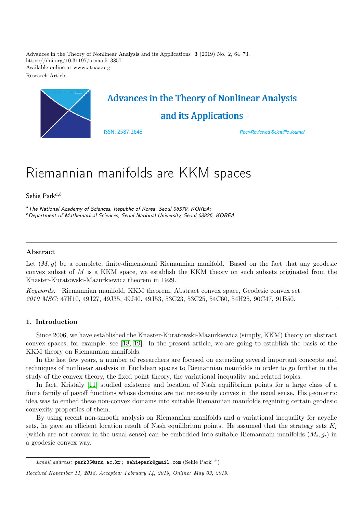Advances in the Theory of Nonlinear Analysis and its Applications 3 (2019) No. 2, 64–73. https://doi.org/10.31197/atnaa.513857 Available online at www.atnaa.org Research Article



# Riemannian manifolds are KKM spaces

Sehie Park $a,b$ 

<sup>a</sup>The National Academy of Sciences, Republic of Korea, Seoul 06579, KOREA; <sup>b</sup>Department of Mathematical Sciences, Seoul National University, Seoul 08826, KOREA

# Abstract

Let  $(M, q)$  be a complete, finite-dimensional Riemannian manifold. Based on the fact that any geodesic convex subset of M is a KKM space, we establish the KKM theory on such subsets originated from the Knaster-Kuratowski-Mazurkiewicz theorem in 1929.

Keywords: Riemannian manifold, KKM theorem, Abstract convex space, Geodesic convex set. 2010 MSC: 47H10, 49J27, 49J35, 49J40, 49J53, 53C23, 53C25, 54C60, 54H25, 90C47, 91B50.

# 1. Introduction

Since 2006, we have established the Knaster-Kuratowski-Mazurkiewicz (simply, KKM) theory on abstract convex spaces; for example, see [\[18,](#page-9-0) [19\]](#page-9-1). In the present article, we are going to establish the basis of the KKM theory on Riemannian manifolds.

In the last few years, a number of researchers are focused on extending several important concepts and techniques of nonlinear analysis in Euclidean spaces to Riemannian manifolds in order to go further in the study of the convex theory, the fixed point theory, the variational inequality and related topics.

In fact, Kristály [\[11\]](#page-9-2) studied existence and location of Nash equilibrium points for a large class of a finite family of payoff functions whose domains are not necessarily convex in the usual sense. His geometric idea was to embed these non-convex domains into suitable Riemannian manifolds regaining certain geodesic convexity properties of them.

By using recent non-smooth analysis on Riemannian manifolds and a variational inequality for acyclic sets, he gave an efficient location result of Nash equilibrium points. He assumed that the strategy sets  $K_i$ (which are not convex in the usual sense) can be embedded into suitable Riemannain manifolds  $(M_i, g_i)$  in a geodesic convex way.

*Email address:* park35@snu.ac.kr; sehiepark@gmail.com (Sehie  $\text{Park}^{a,b}$ )

Received November 11, 2018, Accepted: February 14, 2019, Online: May 03, 2019.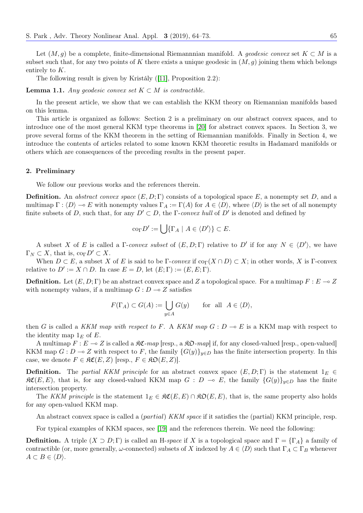Let  $(M, q)$  be a complete, finite-dimensional Riemannnian manifold. A *geodesic convex* set  $K \subset M$  is a subset such that, for any two points of K there exists a unique geodesic in  $(M, q)$  joining them which belongs entirely to K.

The following result is given by Kristály ([\[11\]](#page-9-2), Proposition 2.2):

**Lemma 1.1.** Any geodesic convex set  $K \subset M$  is contractible.

In the present article, we show that we can establish the KKM theory on Riemannian manifolds based on this lemma.

This article is organized as follows: Section 2 is a preliminary on our abstract convex spaces, and to introduce one of the most general KKM type theorems in [\[20\]](#page-9-3) for abstract convex spaces. In Section 3, we prove several forms of the KKM theorem in the setting of Riemannian manifolds. Finally in Section 4, we introduce the contents of articles related to some known KKM theoretic results in Hadamard manifolds or others which are consequences of the preceding results in the present paper.

#### 2. Preliminary

We follow our previous works and the references therein.

**Definition.** An abstract convex space  $(E, D; \Gamma)$  consists of a topological space E, a nonempty set D, and a multimap  $\Gamma : \langle D \rangle \to E$  with nonempty values  $\Gamma_A := \Gamma(A)$  for  $A \in \langle D \rangle$ , where  $\langle D \rangle$  is the set of all nonempty finite subsets of D, such that, for any  $D' \subset D$ , the  $\Gamma$ -convex hull of  $D'$  is denoted and defined by

$$
\mathrm{co}_{\Gamma} D':=\bigcup \{\Gamma_A \mid A\in \langle D'\rangle\}\subset E.
$$

A subset X of E is called a  $\Gamma$ -convex subset of  $(E, D; \Gamma)$  relative to D' if for any  $N \in \langle D' \rangle$ , we have  $\Gamma_N \subset X$ , that is,  $\text{co}_{\Gamma} D' \subset X$ .

When  $D \subset E$ , a subset X of E is said to be  $\Gamma$ -convex if  $\text{co}_{\Gamma}(X \cap D) \subset X$ ; in other words, X is  $\Gamma$ -convex relative to  $D' := X \cap D$ . In case  $E = D$ , let  $(E; \Gamma) := (E, E; \Gamma)$ .

**Definition.** Let  $(E, D; \Gamma)$  be an abstract convex space and Z a topological space. For a multimap  $F : E \to Z$ with nonempty values, if a multimap  $G : D \longrightarrow Z$  satisfies

$$
F(\Gamma_A) \subset G(A) := \bigcup_{y \in A} G(y) \quad \text{for all } A \in \langle D \rangle,
$$

then G is called a KKM map with respect to F. A KKM map  $G: D \to E$  is a KKM map with respect to the identity map  $1<sub>E</sub>$  of E.

A multimap  $F: E \to Z$  is called a  $\Re \mathfrak{C}$ -map [resp., a  $\Re \mathfrak{D}$ -map] if, for any closed-valued [resp., open-valued] KKM map  $G: D \to Z$  with respect to F, the family  ${G(y)}_{y\in D}$  has the finite intersection property. In this case, we denote  $F \in \mathfrak{RC}(E, Z)$  [resp.,  $F \in \mathfrak{RO}(E, Z)$ ].

**Definition.** The partial KKM principle for an abstract convex space  $(E, D; \Gamma)$  is the statement  $1_E \in$  $\mathcal{RC}(E, E)$ , that is, for any closed-valued KKM map  $G : D \multimap E$ , the family  ${G(y)}_{y\in D}$  has the finite intersection property.

The KKM principle is the statement  $1_E \in \mathfrak{RC}(E, E) \cap \mathfrak{RO}(E, E)$ , that is, the same property also holds for any open-valued KKM map.

An abstract convex space is called a *(partial) KKM space* if it satisfies the (partial) KKM principle, resp.

For typical examples of KKM spaces, see [\[19\]](#page-9-1) and the references therein. We need the following:

**Definition.** A triple  $(X \supset D; \Gamma)$  is called an H-space if X is a topological space and  $\Gamma = {\Gamma_A}$  a family of contractible (or, more generally,  $\omega$ -connected) subsets of X indexed by  $A \in \langle D \rangle$  such that  $\Gamma_A \subset \Gamma_B$  whenever  $A \subset B \in \langle D \rangle$ .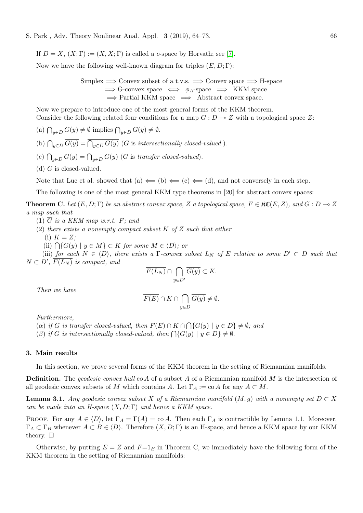If  $D = X$ ,  $(X; \Gamma) := (X, X; \Gamma)$  is called a c-space by Horvath; see [\[7\]](#page-9-4).

Now we have the following well-known diagram for triples  $(E, D; \Gamma)$ :

Simplex  $\Rightarrow$  Convex subset of a t.v.s.  $\Rightarrow$  Convex space  $\Rightarrow$  H-space  $\implies$  G-convex space  $\iff \phi_A$ -space  $\implies$  KKM space  $\implies$  Partial KKM space  $\implies$  Abstract convex space.

Now we prepare to introduce one of the most general forms of the KKM theorem. Consider the following related four conditions for a map  $G: D \to Z$  with a topological space Z:

(a)  $\bigcap_{y\in D} G(y) \neq \emptyset$  implies  $\bigcap_{y\in D} G(y) \neq \emptyset$ .

- (b)  $\bigcap_{y\in D} G(y) = \bigcap_{y\in D} G(y)$  (G is intersectionally closed-valued).
- (c)  $\bigcap_{y\in D} G(y) = \bigcap_{y\in D} G(y)$  (G is transfer closed-valued).
- (d)  $G$  is closed-valued.

Note that Luc et al. showed that (a)  $\Leftarrow$  (b)  $\Leftarrow$  (c), and not conversely in each step.

The following is one of the most general KKM type theorems in [20] for abstract convex spaces:

**Theorem C.** Let  $(E, D; \Gamma)$  be an abstract convex space, Z a topological space,  $F \in \mathcal{RC}(E, Z)$ , and  $G : D \to Z$ a map such that

- (1)  $\overline{G}$  is a KKM map w.r.t. F; and
- (2) there exists a nonempty compact subset  $K$  of  $Z$  such that either
	- (i)  $K = Z$ ;
	- (ii)  $\bigcap \{G(y) \mid y \in M\} \subset K$  for some  $M \in \langle D \rangle$ ; or

(iii) for each  $N \in \langle D \rangle$ , there exists a Γ-convex subset  $L_N$  of E relative to some  $D' \subset D$  such that  $N \subset D'$ ,  $\overline{F(L_N)}$  is compact, and

$$
\overline{F(L_N)} \cap \bigcap_{y \in D'} \overline{G(y)} \subset K.
$$

Then we have

$$
\overline{F(E)} \cap K \cap \bigcap_{y \in D} \overline{G(y)} \neq \emptyset.
$$

Furthermore,

- (a) if G is transfer closed-valued, then  $F(E) \cap K \cap \bigcap \{G(y) \mid y \in D\} \neq \emptyset$ ; and
- (β) if G is intersectionally closed-valued, then  $\bigcap \{G(y) \mid y \in D\} \neq \emptyset$ .

#### 3. Main results

In this section, we prove several forms of the KKM theorem in the setting of Riemannian manifolds.

**Definition.** The geodesic convex hull co A of a subset A of a Riemannian manifold M is the intersection of all geodesic convex subsets of M which contains A. Let  $\Gamma_A := \text{co } A$  for any  $A \subset M$ .

**Lemma 3.1.** Any geodesic convex subset X of a Riemannian manifold  $(M, g)$  with a nonempty set  $D \subset X$ can be made into an H-space  $(X, D; \Gamma)$  and hence a KKM space.

PROOF. For any  $A \in \langle D \rangle$ , let  $\Gamma_A = \Gamma(A) = \text{co } A$ . Then each  $\Gamma_A$  is contractible by Lemma 1.1. Moreover,  $\Gamma_A \subset \Gamma_B$  whenever  $A \subset B \in \langle D \rangle$ . Therefore  $(X, D; \Gamma)$  is an H-space, and hence a KKM space by our KKM theory.  $\square$ 

Otherwise, by putting  $E = Z$  and  $F=1<sub>E</sub>$  in Theorem C, we immediately have the following form of the KKM theorem in the setting of Riemannian manifolds: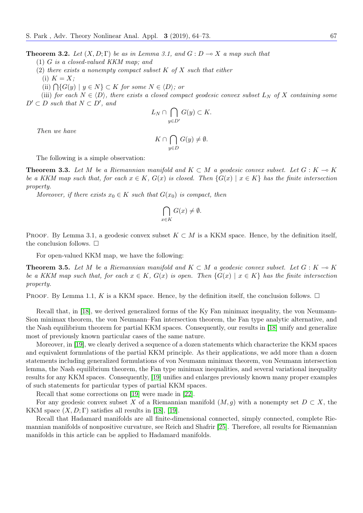**Theorem 3.2.** Let  $(X, D; \Gamma)$  be as in Lemma 3.1, and  $G: D \to X$  a map such that

(1) G is a closed-valued KKM map; and

- (2) there exists a nonempty compact subset  $K$  of  $X$  such that either
- (i)  $K = X$ ;
	- (ii)  $\bigcap \{G(y) \mid y \in N\} \subset K$  for some  $N \in \langle D \rangle$ ; or

(iii) for each  $N \in \langle D \rangle$ , there exists a closed compact geodesic convex subset  $L_N$  of X containing some  $D' \subset D$  such that  $N \subset D'$ , and

$$
L_N \cap \bigcap_{y \in D'} G(y) \subset K.
$$

Then we have

$$
K \cap \bigcap_{y \in D} G(y) \neq \emptyset.
$$

The following is a simple observation:

**Theorem 3.3.** Let M be a Riemannian manifold and  $K \subset M$  a geodesic convex subset. Let  $G : K \to K$ be a KKM map such that, for each  $x \in K$ ,  $G(x)$  is closed. Then  $\{G(x) \mid x \in K\}$  has the finite intersection property.

Moreover, if there exists  $x_0 \in K$  such that  $G(x_0)$  is compact, then

$$
\bigcap_{x \in K} G(x) \neq \emptyset.
$$

PROOF. By Lemma 3.1, a geodesic convex subset  $K \subset M$  is a KKM space. Hence, by the definition itself, the conclusion follows.  $\square$ 

For open-valued KKM map, we have the following:

**Theorem 3.5.** Let M be a Riemannian manifold and  $K \subset M$  a geodesic convex subset. Let  $G : K \to K$ be a KKM map such that, for each  $x \in K$ ,  $G(x)$  is open. Then  $\{G(x) \mid x \in K\}$  has the finite intersection property.

PROOF. By Lemma 1.1, K is a KKM space. Hence, by the definition itself, the conclusion follows.  $\Box$ 

Recall that, in [\[18\]](#page-9-0), we derived generalized forms of the Ky Fan minimax inequality, the von Neumann-Sion minimax theorem, the von Neumann–Fan intersection theorem, the Fan type analytic alternative, and the Nash equilibrium theorem for partial KKM spaces. Consequently, our results in [\[18\]](#page-9-0) unify and generalize most of previously known particular cases of the same nature.

Moreover, in [\[19\]](#page-9-1), we clearly derived a sequence of a dozen statements which characterize the KKM spaces and equivalent formulations of the partial KKM principle. As their applications, we add more than a dozen statements including generalized formulations of von Neumann minimax theorem, von Neumann intersection lemma, the Nash equilibrium theorem, the Fan type minimax inequalities, and several variational inequality results for any KKM spaces. Consequently, [\[19\]](#page-9-1) unifies and enlarges previously known many proper examples of such statements for particular types of partial KKM spaces.

Recall that some corrections on [\[19\]](#page-9-1) were made in [\[22\]](#page-9-5).

For any geodesic convex subset X of a Riemannian manifold  $(M, g)$  with a nonempty set  $D \subset X$ , the KKM space  $(X, D; \Gamma)$  satisfies all results in [\[18\]](#page-9-0), [\[19\]](#page-9-1).

Recall that Hadamard manifolds are all finite-dimensional connected, simply connected, complete Riemannian manifolds of nonpositive curvature, see Reich and Shafrir [\[25\]](#page-9-6). Therefore, all results for Riemannian manifolds in this article can be applied to Hadamard manifolds.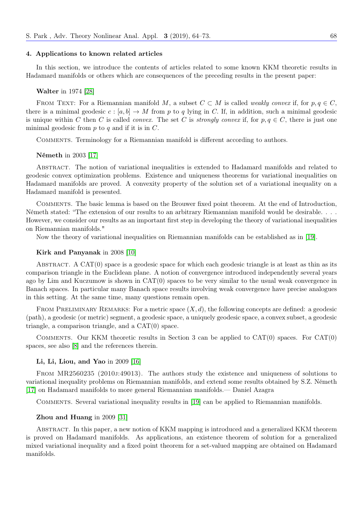#### 4. Applications to known related articles

In this section, we introduce the contents of articles related to some known KKM theoretic results in Hadamard manifolds or others which are consequences of the preceding results in the present paper:

#### Walter in 1974 [\[28\]](#page-9-7)

FROM TEXT: For a Riemannian manifold M, a subset  $C \subset M$  is called *weakly convex* if, for  $p, q \in C$ , there is a minimal geodesic  $c : [a, b] \to M$  from p to q lying in C. If, in addition, such a minimal geodesic is unique within C then C is called *convex*. The set C is *strongly convex* if, for  $p, q \in C$ , there is just one minimal geodesic from  $p$  to  $q$  and if it is in  $C$ .

Comments. Terminology for a Riemannian manifold is different according to authors.

#### Németh in 2003 [\[17\]](#page-9-8)

Abstract. The notion of variational inequalities is extended to Hadamard manifolds and related to geodesic convex optimization problems. Existence and uniqueness theorems for variational inequalities on Hadamard manifolds are proved. A convexity property of the solution set of a variational inequality on a Hadamard manifold is presented.

Comments. The basic lemma is based on the Brouwer fixed point theorem. At the end of Introduction, Németh stated: "The extension of our results to an arbitrary Riemannian manifold would be desirable. . . . However, we consider our results as an important first step in developing the theory of variational inequalities on Riemannian manifolds."

Now the theory of variational inequalities on Riemannian manifolds can be established as in [\[19\]](#page-9-1).

#### Kirk and Panyanak in 2008 [\[10\]](#page-9-9)

ABSTRACT. A  $CAT(0)$  space is a geodesic space for which each geodesic triangle is at least as thin as its comparison triangle in the Euclidean plane. A notion of convergence introduced independently several years ago by Lim and Kuczumow is shown in CAT(0) spaces to be very similar to the usual weak convergence in Banach spaces. In particular many Banach space results involving weak convergence have precise analogues in this setting. At the same time, many questions remain open.

FROM PRELIMINARY REMARKS: For a metric space  $(X, d)$ , the following concepts are defined: a geodesic (path), a geodesic (or metric) segment, a geodesic space, a uniquely geodesic space, a convex subset, a geodesic triangle, a comparison triangle, and a CAT(0) space.

COMMENTS. Our KKM theoretic results in Section 3 can be applied to  $CAT(0)$  spaces. For  $CAT(0)$ spaces, see also [\[8\]](#page-9-10) and the references therein.

#### Li, Li, Liou, and Yao in 2009 [\[16\]](#page-9-11)

From MR2560235 (2010j:49013). The authors study the existence and uniqueness of solutions to variational inequality problems on Riemannian manifolds, and extend some results obtained by S.Z. Németh [\[17\]](#page-9-8) on Hadamard manifolds to more general Riemannian manifolds.— Daniel Azagra

Comments. Several variational inequality results in [\[19\]](#page-9-1) can be applied to Riemannian manifolds.

# Zhou and Huang in 2009 [\[31\]](#page-9-12)

Abstract. In this paper, a new notion of KKM mapping is introduced and a generalized KKM theorem is proved on Hadamard manifolds. As applications, an existence theorem of solution for a generalized mixed variational inequality and a fixed point theorem for a set-valued mapping are obtained on Hadamard manifolds.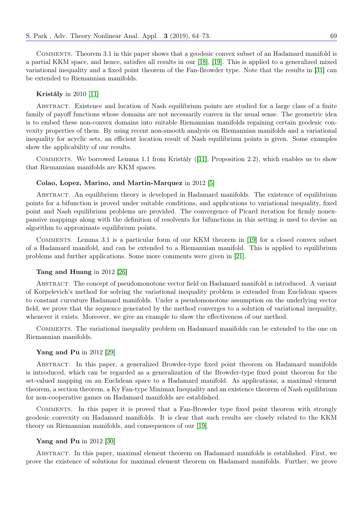Comments. Theorem 3.1 in this paper shows that a geodesic convex subset of an Hadamard manifold is a partial KKM space, and hence, satisfies all results in our [\[18\]](#page-9-0), [\[19\]](#page-9-1). This is applied to a generalized mixed variational inequality and a fixed point theorem of the Fan-Browder type. Note that the results in [\[31\]](#page-9-12) can be extended to Riemannian manifolds.

# Kristály in 2010 [\[11\]](#page-9-2)

Abstract. Existence and location of Nash equilibrium points are studied for a large class of a finite family of payoff functions whose domains are not necessarily convex in the usual sense. The geometric idea is to embed these non-convex domains into suitable Riemannian manifolds regaining certain geodesic convexity properties of them. By using recent non-smooth analysis on Riemannian manifolds and a variational inequality for acyclic sets, an efficient location result of Nash equilibrium points is given. Some examples show the applicability of our results.

Comments. We borrowed Lemma 1.1 from Kristály ([\[11\]](#page-9-2), Proposition 2.2), which enables us to show that Riemannian manifolds are KKM spaces.

# Colao, Lopez, Marino, and Martin-Marquez in 2012 [\[5\]](#page-9-13)

Abstract. An equilibrium theory is developed in Hadamard manifolds. The existence of equilibrium points for a bifunction is proved under suitable conditions, and applications to variational inequality, fixed point and Nash equilibrium problems are provided. The convergence of Picard iteration for firmly nonexpansive mappings along with the definition of resolvents for bifunctions in this setting is used to devise an algorithm to approximate equilibrium points.

Comments. Lemma 3.1 is a particular form of our KKM theorem in [\[19\]](#page-9-1) for a closed convex subset of a Hadamard manifold, and can be extended to a Riemannian manifold. This is applied to equilibrium problems and further applications. Some more comments were given in [\[21\]](#page-9-14).

# Tang and Huang in 2012 [\[26\]](#page-9-15)

Abstract. The concept of pseudomonotone vector field on Hadamard manifold is introduced. A variant of Korpelevich's method for solving the variational inequality problem is extended from Euclidean spaces to constant curvature Hadamard manifolds. Under a pseudomonotone assumption on the underlying vector field, we prove that the sequence generated by the method converges to a solution of variational inequality, whenever it exists. Moreover, we give an example to show the effectiveness of our method.

Comments. The variational inequality problem on Hadamard manifolds can be extended to the one on Riemannian manifolds.

## Yang and Pu in 2012 [\[29\]](#page-9-16)

Abstract. In this paper, a generalized Browder-type fixed point theorem on Hadamard manifolds is introduced, which can be regarded as a generalization of the Browder-type fixed point theorem for the set-valued mapping on an Euclidean space to a Hadamard manifold. As applications, a maximal element theorem, a section theorem, a Ky Fan-type Minimax Inequality and an existence theorem of Nash equilibrium for non-cooperative games on Hadamard manifolds are established.

Comments. In this paper it is proved that a Fan-Browder type fixed point theorem with strongly geodesic convexity on Hadamard manifolds. It is clear that such results are closely related to the KKM theory on Riemannian manifolds, and consequences of our [\[19\]](#page-9-1).

#### Yang and Pu in 2012 [\[30\]](#page-9-17)

Abstract. In this paper, maximal element theorem on Hadamard manifolds is established. First, we prove the existence of solutions for maximal element theorem on Hadamard manifolds. Further, we prove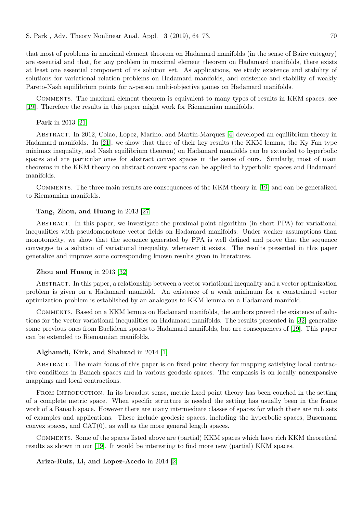that most of problems in maximal element theorem on Hadamard manifolds (in the sense of Baire category) are essential and that, for any problem in maximal element theorem on Hadamard manifolds, there exists at least one essential component of its solution set. As applications, we study existence and stability of solutions for variational relation problems on Hadamard manifolds, and existence and stability of weakly Pareto-Nash equilibrium points for *n*-person multi-objective games on Hadamard manifolds.

Comments. The maximal element theorem is equivalent to many types of results in KKM spaces; see [\[19\]](#page-9-1). Therefore the results in this paper might work for Riemannian manifolds.

#### Park in 2013 [\[21\]](#page-9-14)

ABSTRACT. In 2012, Colao, Lopez, Marino, and Martin-Marquez [\[4\]](#page-9-18) developed an equilibrium theory in Hadamard manifolds. In [\[21\]](#page-9-14), we show that three of their key results (the KKM lemma, the Ky Fan type minimax inequality, and Nash equilibrium theorem) on Hadamard manifolds can be extended to hyperbolic spaces and are particular ones for abstract convex spaces in the sense of ours. Similarly, most of main theorems in the KKM theory on abstract convex spaces can be applied to hyperbolic spaces and Hadamard manifolds.

Comments. The three main results are consequences of the KKM theory in [\[19\]](#page-9-1) and can be generalized to Riemannian manifolds.

# Tang, Zhou, and Huang in 2013 [\[27\]](#page-9-19)

Abstract. In this paper, we investigate the proximal point algorithm (in short PPA) for variational inequalities with pseudomonotone vector fields on Hadamard manifolds. Under weaker assumptions than monotonicity, we show that the sequence generated by PPA is well defined and prove that the sequence converges to a solution of variational inequality, whenever it exists. The results presented in this paper generalize and improve some corresponding known results given in literatures.

## Zhou and Huang in 2013 [\[32\]](#page-9-20)

Abstract. In this paper, a relationship between a vector variational inequality and a vector optimization problem is given on a Hadamard manifold. An existence of a weak minimum for a constrained vector optimization problem is established by an analogous to KKM lemma on a Hadamard manifold.

Comments. Based on a KKM lemma on Hadamard manifolds, the authors proved the existence of solutions for the vector variational inequalities on Hadamard manifolds. The results presented in [\[32\]](#page-9-20) generalize some previous ones from Euclidean spaces to Hadamard manifolds, but are consequences of [\[19\]](#page-9-1). This paper can be extended to Riemannian manifolds.

# Alghamdi, Kirk, and Shahzad in 2014 [\[1\]](#page-9-21)

Abstract. The main focus of this paper is on fixed point theory for mapping satisfying local contractive conditions in Banach spaces and in various geodesic spaces. The emphasis is on locally nonexpansive mappings and local contractions.

FROM INTRODUCTION. In its broadest sense, metric fixed point theory has been couched in the setting of a complete metric space. When specific structure is needed the setting has usually been in the frame work of a Banach space. However there are many intermediate classes of spaces for which there are rich sets of examples and applications. These include geodesic spaces, including the hyperbolic spaces, Busemann convex spaces, and  $CAT(0)$ , as well as the more general length spaces.

Comments. Some of the spaces listed above are (partial) KKM spaces which have rich KKM theoretical results as shown in our [\[19\]](#page-9-1). It would be interesting to find more new (partial) KKM spaces.

Ariza-Ruiz, Li, and Lopez-Acedo in 2014 [\[2\]](#page-9-22)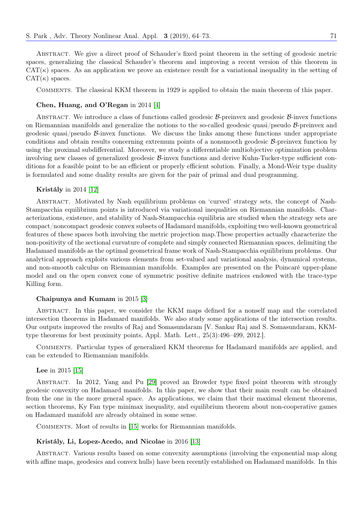Abstract. We give a direct proof of Schauder's fixed point theorem in the setting of geodesic metric spaces, generalizing the classical Schauder's theorem and improving a recent version of this theorem in  $CAT(\kappa)$  spaces. As an application we prove an existence result for a variational inequality in the setting of  $CAT(\kappa)$  spaces.

Comments. The classical KKM theorem in 1929 is applied to obtain the main theorem of this paper.

## Chen, Huang, and O'Regan in 2014 [\[4\]](#page-9-18)

ABSTRACT. We introduce a class of functions called geodesic  $\beta$ -preinvex and geodesic  $\beta$ -invex functions on Riemannian manifolds and generalize the notions to the so-called geodesic quasi/pseudo  $\beta$ -preinvex and geodesic quasi/pseudo B-invex functions. We discuss the links among these functions under appropriate conditions and obtain results concerning extremum points of a nonsmooth geodesic B-preinvex function by using the proximal subdifferential. Moreover, we study a differentiable multiobjective optimization problem involving new classes of generalized geodesic B-invex functions and derive Kuhn-Tucker-type sufficient conditions for a feasible point to be an efficient or properly efficient solution. Finally, a Mond-Weir type duality is formulated and some duality results are given for the pair of primal and dual programming.

## Kristály in 2014 [\[12\]](#page-9-23)

Abstract. Motivated by Nash equilibrium problems on 'curved' strategy sets, the concept of Nash-Stampacchia equilibrium points is introduced via variational inequalities on Riemannian manifolds. Characterizations, existence, and stability of Nash-Stampacchia equilibria are studied when the strategy sets are compact/noncompact geodesic convex subsets of Hadamard manifolds, exploiting two well-known geometrical features of these spaces both involving the metric projection map.These properties actually characterize the non-positivity of the sectional curvature of complete and simply connected Riemannian spaces, delimiting the Hadamard manifolds as the optimal geometrical frame work of Nash-Stampacchia equilibrium problems. Our analytical approach exploits various elements from set-valued and variational analysis, dynamical systems, and non-smooth calculus on Riemannian manifolds. Examples are presented on the Poincaré upper-plane model and on the open convex cone of symmetric positive definite matrices endowed with the trace-type Killing form.

#### Chaipunya and Kumam in 2015 [\[3\]](#page-9-24)

Abstract. In this paper, we consider the KKM maps defined for a nonself map and the correlated intersection theorems in Hadamard manifolds. We also study some applications of the intersection results. Our outputs improved the results of Raj and Somasundaram [V. Sankar Raj and S. Somasundaram, KKMtype theorems for best proximity points, Appl. Math. Lett., 25(3):496–499, 2012.].

Comments. Particular types of generalized KKM theorems for Hadamard manifolds are applied, and can be extended to Riemannian manifolds.

# Lee in 2015 [\[15\]](#page-9-25)

Abstract. In 2012, Yang and Pu [\[29\]](#page-9-16) proved an Browder type fixed point theorem with strongly geodesic convexity on Hadamard manifolds. In this paper, we show that their main result can be obtained from the one in the more general space. As applications, we claim that their maximal element theorems, section theorems, Ky Fan type minimax inequality, and equilibrium theorem about non-cooperative games on Hadamard manifold are already obtained in some sense.

Comments. Most of results in [\[15\]](#page-9-25) works for Riemannian manifolds.

# Kristály, Li, Lopez-Acedo, and Nicolae in 2016 [\[13\]](#page-9-26)

Abstract. Various results based on some convexity assumptions (involving the exponential map along with affine maps, geodesics and convex hulls) have been recently established on Hadamard manifolds. In this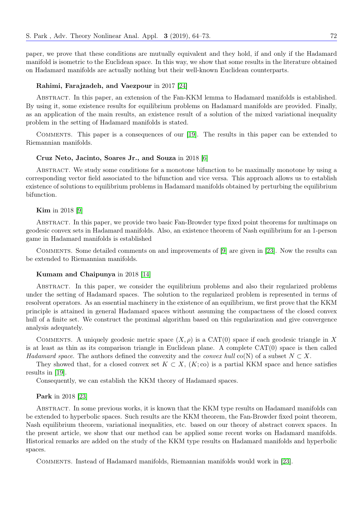paper, we prove that these conditions are mutually equivalent and they hold, if and only if the Hadamard manifold is isometric to the Euclidean space. In this way, we show that some results in the literature obtained on Hadamard manifolds are actually nothing but their well-known Euclidean counterparts.

# Rahimi, Farajzadeh, and Vaezpour in 2017 [\[24\]](#page-9-27)

Abstract. In this paper, an extension of the Fan-KKM lemma to Hadamard manifolds is established. By using it, some existence results for equilibrium problems on Hadamard manifolds are provided. Finally, as an application of the main results, an existence result of a solution of the mixed variational inequality problem in the setting of Hadamard manifolds is stated.

Comments. This paper is a consequences of our [\[19\]](#page-9-1). The results in this paper can be extended to Riemannian manifolds.

## Cruz Neto, Jacinto, Soares Jr., and Souza in 2018 [\[6\]](#page-9-28)

ABSTRACT. We study some conditions for a monotone bifunction to be maximally monotone by using a corresponding vector field associated to the bifunction and vice versa. This approach allows us to establish existence of solutions to equilibrium problems in Hadamard manifolds obtained by perturbing the equilibrium bifunction.

## Kim in 2018 [\[9\]](#page-9-29)

Abstract. In this paper, we provide two basic Fan-Browder type fixed point theorems for multimaps on geodesic convex sets in Hadamard manifolds. Also, an existence theorem of Nash equilibrium for an 1-person game in Hadamard manifolds is established

Comments. Some detailed comments on and improvements of [\[9\]](#page-9-29) are given in [\[23\]](#page-9-30). Now the results can be extended to Riemannian manifolds.

#### Kumam and Chaipunya in 2018 [\[14\]](#page-9-31)

Abstract. In this paper, we consider the equilibrium problems and also their regularized problems under the setting of Hadamard spaces. The solution to the regularized problem is represented in terms of resolvent operators. As an essential machinery in the existence of an equilibrium, we first prove that the KKM principle is attained in general Hadamard spaces without assuming the compactness of the closed convex hull of a finite set. We construct the proximal algorithm based on this regularization and give convergence analysis adequately.

COMMENTS. A uniquely geodesic metric space  $(X, \rho)$  is a CAT(0) space if each geodesic triangle in X is at least as thin as its comparison triangle in Euclidean plane. A complete CAT(0) space is then called Hadamard space. The authors defined the convexity and the convex hull co(N) of a subset  $N \subset X$ .

They showed that, for a closed convex set  $K \subset X$ ,  $(K; \text{co})$  is a partial KKM space and hence satisfies results in [\[19\]](#page-9-1).

Consequently, we can establish the KKM theory of Hadamard spaces.

## Park in 2018 [\[23\]](#page-9-30)

Abstract. In some previous works, it is known that the KKM type results on Hadamard manifolds can be extended to hyperbolic spaces. Such results are the KKM theorem, the Fan-Browder fixed point theorem, Nash equilibrium theorem, variational inequalities, etc. based on our theory of abstract convex spaces. In the present article, we show that our method can be applied some recent works on Hadamard manifolds. Historical remarks are added on the study of the KKM type results on Hadamard manifolds and hyperbolic spaces.

Comments. Instead of Hadamard manifolds, Riemannian manifolds would work in [\[23\]](#page-9-30).